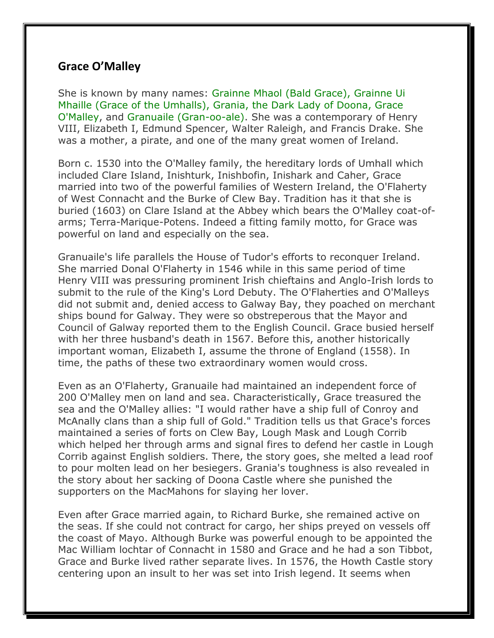## **Grace O'Malley**

She is known by many names: Grainne Mhaol (Bald Grace), Grainne Ui Mhaille (Grace of the Umhalls), Grania, the Dark Lady of Doona, Grace O'Malley, and Granuaile (Gran-oo-ale). She was a contemporary of Henry VIII, Elizabeth I, Edmund Spencer, Walter Raleigh, and Francis Drake. She was a mother, a pirate, and one of the many great women of Ireland.

Born c. 1530 into the O'Malley family, the hereditary lords of Umhall which included Clare Island, Inishturk, Inishbofin, Inishark and Caher, Grace married into two of the powerful families of Western Ireland, the O'Flaherty of West Connacht and the Burke of Clew Bay. Tradition has it that she is buried (1603) on Clare Island at the Abbey which bears the O'Malley coat-ofarms; Terra-Marique-Potens. Indeed a fitting family motto, for Grace was powerful on land and especially on the sea.

Granuaile's life parallels the House of Tudor's efforts to reconquer Ireland. She married Donal O'Flaherty in 1546 while in this same period of time Henry VIII was pressuring prominent Irish chieftains and Anglo-Irish lords to submit to the rule of the King's Lord Debuty. The O'Flaherties and O'Malleys did not submit and, denied access to Galway Bay, they poached on merchant ships bound for Galway. They were so obstreperous that the Mayor and Council of Galway reported them to the English Council. Grace busied herself with her three husband's death in 1567. Before this, another historically important woman, Elizabeth I, assume the throne of England (1558). In time, the paths of these two extraordinary women would cross.

Even as an O'Flaherty, Granuaile had maintained an independent force of 200 O'Malley men on land and sea. Characteristically, Grace treasured the sea and the O'Malley allies: "I would rather have a ship full of Conroy and McAnally clans than a ship full of Gold." Tradition tells us that Grace's forces maintained a series of forts on Clew Bay, Lough Mask and Lough Corrib which helped her through arms and signal fires to defend her castle in Lough Corrib against English soldiers. There, the story goes, she melted a lead roof to pour molten lead on her besiegers. Grania's toughness is also revealed in the story about her sacking of Doona Castle where she punished the supporters on the MacMahons for slaying her lover.

Even after Grace married again, to Richard Burke, she remained active on the seas. If she could not contract for cargo, her ships preyed on vessels off the coast of Mayo. Although Burke was powerful enough to be appointed the Mac William lochtar of Connacht in 1580 and Grace and he had a son Tibbot, Grace and Burke lived rather separate lives. In 1576, the Howth Castle story centering upon an insult to her was set into Irish legend. It seems when